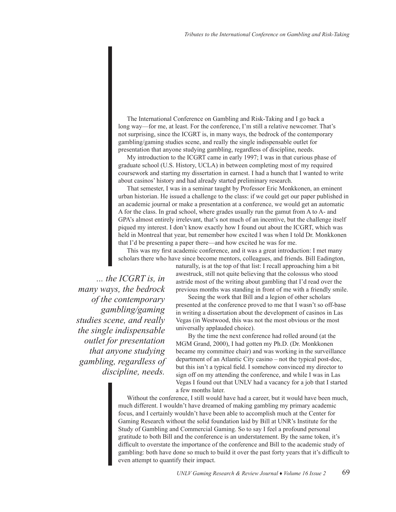The International Conference on Gambling and Risk-Taking and I go back a long way—for me, at least. For the conference, I'm still a relative newcomer. That's not surprising, since the ICGRT is, in many ways, the bedrock of the contemporary gambling/gaming studies scene, and really the single indispensable outlet for presentation that anyone studying gambling, regardless of discipline, needs.

My introduction to the ICGRT came in early 1997; I was in that curious phase of graduate school (U.S. History, UCLA) in between completing most of my required coursework and starting my dissertation in earnest. I had a hunch that I wanted to write about casinos' history and had already started preliminary research.

That semester, I was in a seminar taught by Professor Eric Monkkonen, an eminent urban historian. He issued a challenge to the class: if we could get our paper published in an academic journal or make a presentation at a conference, we would get an automatic A for the class. In grad school, where grades usually run the gamut from A to A- and GPA's almost entirely irrelevant, that's not much of an incentive, but the challenge itself piqued my interest. I don't know exactly how I found out about the ICGRT, which was held in Montreal that year, but remember how excited I was when I told Dr. Monkkonen that I'd be presenting a paper there—and how excited he was for me.

This was my first academic conference, and it was a great introduction: I met many scholars there who have since become mentors, colleagues, and friends. Bill Eadington,

naturally, is at the top of that list: I recall approaching him a bit awestruck, still not quite believing that the colossus who stood astride most of the writing about gambling that I'd read over the previous months was standing in front of me with a friendly smile.

Seeing the work that Bill and a legion of other scholars presented at the conference proved to me that I wasn't so off-base in writing a dissertation about the development of casinos in Las Vegas (in Westwood, this was not the most obvious or the most universally applauded choice).

By the time the next conference had rolled around (at the MGM Grand, 2000), I had gotten my Ph.D. (Dr. Monkkonen became my committee chair) and was working in the surveillance department of an Atlantic City casino – not the typical post-doc, but this isn't a typical field. I somehow convinced my director to sign off on my attending the conference, and while I was in Las Vegas I found out that UNLV had a vacancy for a job that I started a few months later.

Without the conference, I still would have had a career, but it would have been much, much different. I wouldn't have dreamed of making gambling my primary academic focus, and I certainly wouldn't have been able to accomplish much at the Center for Gaming Research without the solid foundation laid by Bill at UNR's Institute for the Study of Gambling and Commercial Gaming. So to say I feel a profound personal gratitude to both Bill and the conference is an understatement. By the same token, it's difficult to overstate the importance of the conference and Bill to the academic study of gambling: both have done so much to build it over the past forty years that it's difficult to even attempt to quantify their impact.

*... the ICGRT is, in many ways, the bedrock of the contemporary gambling/gaming studies scene, and really the single indispensable outlet for presentation that anyone studying gambling, regardless of discipline, needs.*